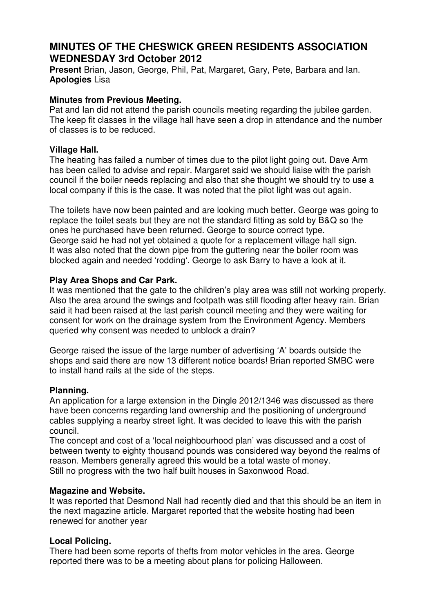# **MINUTES OF THE CHESWICK GREEN RESIDENTS ASSOCIATION WEDNESDAY 3rd October 2012**

**Present** Brian, Jason, George, Phil, Pat, Margaret, Gary, Pete, Barbara and Ian. **Apologies** Lisa

#### **Minutes from Previous Meeting.**

Pat and Ian did not attend the parish councils meeting regarding the jubilee garden. The keep fit classes in the village hall have seen a drop in attendance and the number of classes is to be reduced.

#### **Village Hall.**

The heating has failed a number of times due to the pilot light going out. Dave Arm has been called to advise and repair. Margaret said we should liaise with the parish council if the boiler needs replacing and also that she thought we should try to use a local company if this is the case. It was noted that the pilot light was out again.

The toilets have now been painted and are looking much better. George was going to replace the toilet seats but they are not the standard fitting as sold by B&Q so the ones he purchased have been returned. George to source correct type. George said he had not yet obtained a quote for a replacement village hall sign. It was also noted that the down pipe from the guttering near the boiler room was blocked again and needed 'rodding'. George to ask Barry to have a look at it.

# **Play Area Shops and Car Park.**

It was mentioned that the gate to the children's play area was still not working properly. Also the area around the swings and footpath was still flooding after heavy rain. Brian said it had been raised at the last parish council meeting and they were waiting for consent for work on the drainage system from the Environment Agency. Members queried why consent was needed to unblock a drain?

George raised the issue of the large number of advertising 'A' boards outside the shops and said there are now 13 different notice boards! Brian reported SMBC were to install hand rails at the side of the steps.

# **Planning.**

An application for a large extension in the Dingle 2012/1346 was discussed as there have been concerns regarding land ownership and the positioning of underground cables supplying a nearby street light. It was decided to leave this with the parish council.

The concept and cost of a 'local neighbourhood plan' was discussed and a cost of between twenty to eighty thousand pounds was considered way beyond the realms of reason. Members generally agreed this would be a total waste of money. Still no progress with the two half built houses in Saxonwood Road.

# **Magazine and Website.**

It was reported that Desmond Nall had recently died and that this should be an item in the next magazine article. Margaret reported that the website hosting had been renewed for another year

# **Local Policing.**

There had been some reports of thefts from motor vehicles in the area. George reported there was to be a meeting about plans for policing Halloween.